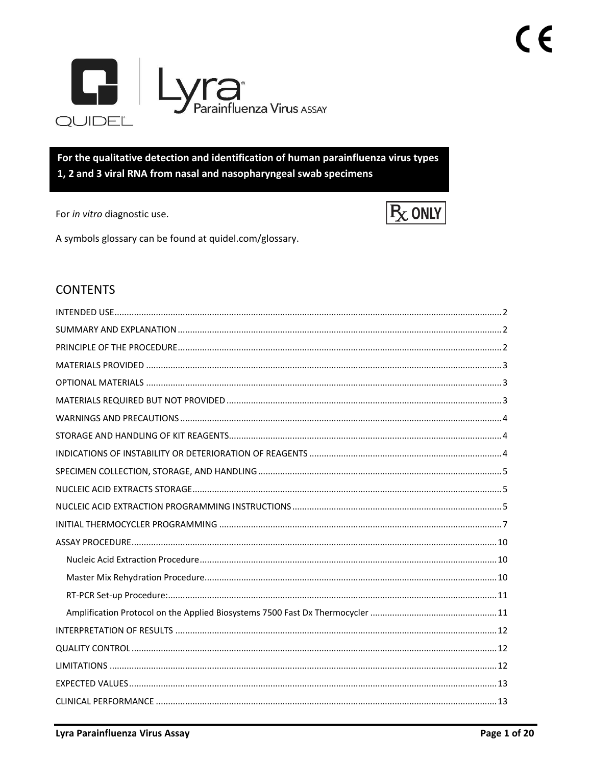

For the qualitative detection and identification of human parainfluenza virus types 1, 2 and 3 viral RNA from nasal and nasopharyngeal swab specimens

For in vitro diagnostic use.



A symbols glossary can be found at quidel.com/glossary.

# **CONTENTS**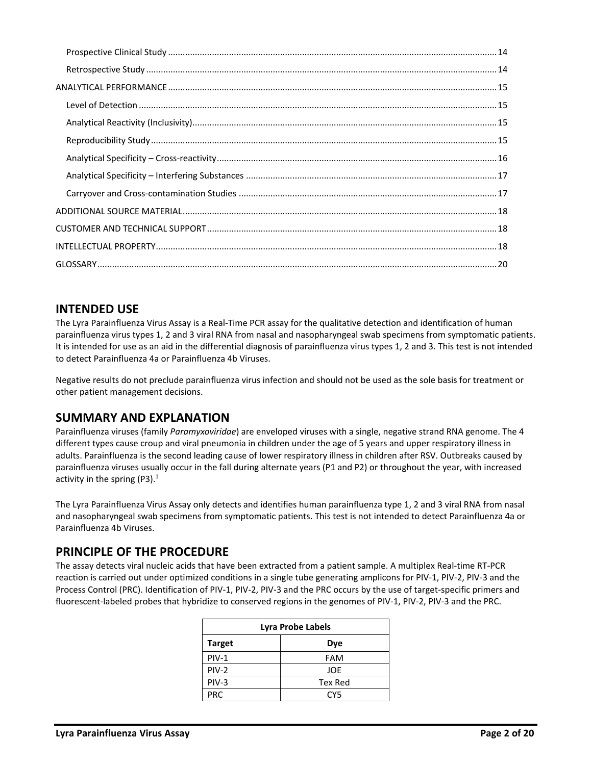# <span id="page-1-0"></span>**INTENDED USE**

The Lyra Parainfluenza Virus Assay is a Real‐Time PCR assay for the qualitative detection and identification of human parainfluenza virus types 1, 2 and 3 viral RNA from nasal and nasopharyngeal swab specimens from symptomatic patients. It is intended for use as an aid in the differential diagnosis of parainfluenza virus types 1, 2 and 3. This test is not intended to detect Parainfluenza 4a or Parainfluenza 4b Viruses.

Negative results do not preclude parainfluenza virus infection and should not be used as the sole basis for treatment or other patient management decisions.

# <span id="page-1-1"></span>**SUMMARY AND EXPLANATION**

Parainfluenza viruses (family *Paramyxoviridae*) are enveloped viruses with a single, negative strand RNA genome. The 4 different types cause croup and viral pneumonia in children under the age of 5 years and upper respiratory illness in adults. Parainfluenza is the second leading cause of lower respiratory illness in children after RSV. Outbreaks caused by parainfluenza viruses usually occur in the fall during alternate years (P1 and P2) or throughout the year, with increased activity in the spring (P3).<sup>1</sup>

The Lyra Parainfluenza Virus Assay only detects and identifies human parainfluenza type 1, 2 and 3 viral RNA from nasal and nasopharyngeal swab specimens from symptomatic patients. This test is not intended to detect Parainfluenza 4a or Parainfluenza 4b Viruses.

# <span id="page-1-2"></span>**PRINCIPLE OF THE PROCEDURE**

The assay detects viral nucleic acids that have been extracted from a patient sample. A multiplex Real-time RT-PCR reaction is carried out under optimized conditions in a single tube generating amplicons for PIV-1, PIV-2, PIV-3 and the Process Control (PRC). Identification of PIV-1, PIV-2, PIV-3 and the PRC occurs by the use of target-specific primers and fluorescent-labeled probes that hybridize to conserved regions in the genomes of PIV-1, PIV-2, PIV-3 and the PRC.

| Lyra Probe Labels |                |  |  |
|-------------------|----------------|--|--|
| <b>Target</b>     | Dye            |  |  |
| $PIV-1$           | FAM            |  |  |
| $PIV-2$           | JOE            |  |  |
| PIV-3             | <b>Tex Red</b> |  |  |
| <b>PRC</b>        | CY5            |  |  |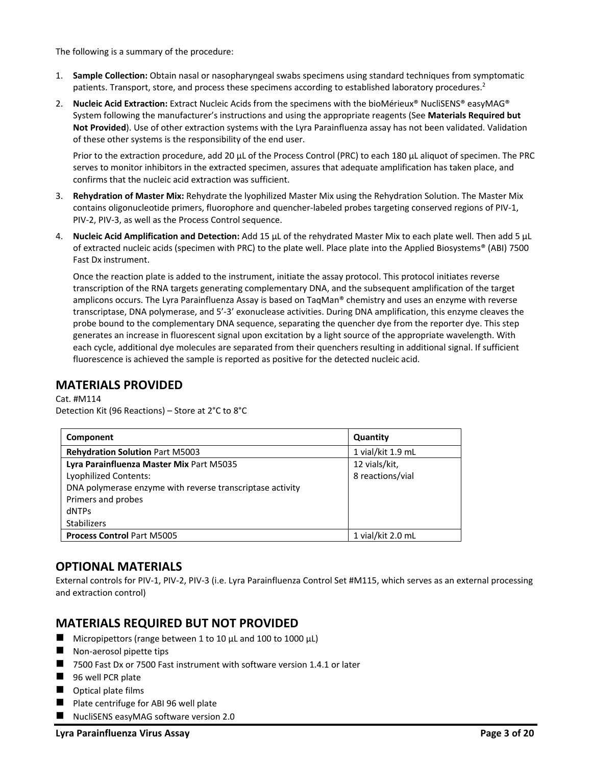The following is a summary of the procedure:

- 1. **Sample Collection:** Obtain nasal or nasopharyngeal swabs specimens using standard techniques from symptomatic patients. Transport, store, and process these specimens according to established laboratory procedures.<sup>2</sup>
- 2. **Nucleic Acid Extraction:** Extract Nucleic Acids from the specimens with the bioMérieux® NucliSENS® easyMAG® System following the manufacturer's instructions and using the appropriate reagents (See **Materials Required but Not Provided**). Use of other extraction systems with the Lyra Parainfluenza assay has not been validated. Validation of these other systems is the responsibility of the end user.

Prior to the extraction procedure, add 20 µL of the Process Control (PRC) to each 180 µL aliquot of specimen. The PRC serves to monitor inhibitors in the extracted specimen, assures that adequate amplification has taken place, and confirms that the nucleic acid extraction was sufficient.

- 3. **Rehydration of Master Mix:** Rehydrate the lyophilized Master Mix using the Rehydration Solution. The Master Mix contains oligonucleotide primers, fluorophore and quencher-labeled probes targeting conserved regions of PIV-1, PIV-2, PIV-3, as well as the Process Control sequence.
- 4. **Nucleic Acid Amplification and Detection:** Add 15 µL of the rehydrated Master Mix to each plate well. Then add 5 µL of extracted nucleic acids (specimen with PRC) to the plate well. Place plate into the Applied Biosystems® (ABI) 7500 Fast Dx instrument.

Once the reaction plate is added to the instrument, initiate the assay protocol. This protocol initiates reverse transcription of the RNA targets generating complementary DNA, and the subsequent amplification of the target amplicons occurs. The Lyra Parainfluenza Assay is based on TaqMan® chemistry and uses an enzyme with reverse transcriptase, DNA polymerase, and 5'-3' exonuclease activities. During DNA amplification, this enzyme cleaves the probe bound to the complementary DNA sequence, separating the quencher dye from the reporter dye. This step generates an increase in fluorescent signal upon excitation by a light source of the appropriate wavelength. With each cycle, additional dye molecules are separated from their quenchers resulting in additional signal. If sufficient fluorescence is achieved the sample is reported as positive for the detected nucleic acid.

## <span id="page-2-0"></span>**MATERIALS PROVIDED**

Cat. #M114 Detection Kit (96 Reactions) – Store at 2°C to 8°C

| Component                                                 | Quantity          |
|-----------------------------------------------------------|-------------------|
| <b>Rehydration Solution Part M5003</b>                    | 1 vial/kit 1.9 mL |
| Lyra Parainfluenza Master Mix Part M5035                  | 12 vials/kit,     |
| <b>Lyophilized Contents:</b>                              | 8 reactions/vial  |
| DNA polymerase enzyme with reverse transcriptase activity |                   |
| Primers and probes                                        |                   |
| dNTPs                                                     |                   |
| <b>Stabilizers</b>                                        |                   |
| <b>Process Control Part M5005</b>                         | 1 vial/kit 2.0 mL |

# <span id="page-2-1"></span>**OPTIONAL MATERIALS**

External controls for PIV-1, PIV-2, PIV-3 (i.e. Lyra Parainfluenza Control Set #M115, which serves as an external processing and extraction control)

# <span id="page-2-2"></span>**MATERIALS REQUIRED BUT NOT PROVIDED**

- $\blacksquare$  Micropipettors (range between 1 to 10 μL and 100 to 1000 μL)
- $\blacksquare$  Non-aerosol pipette tips
- 7500 Fast Dx or 7500 Fast instrument with software version 1.4.1 or later
- 96 well PCR plate
- Optical plate films
- Plate centrifuge for ABI 96 well plate
- NucliSENS easyMAG software version 2.0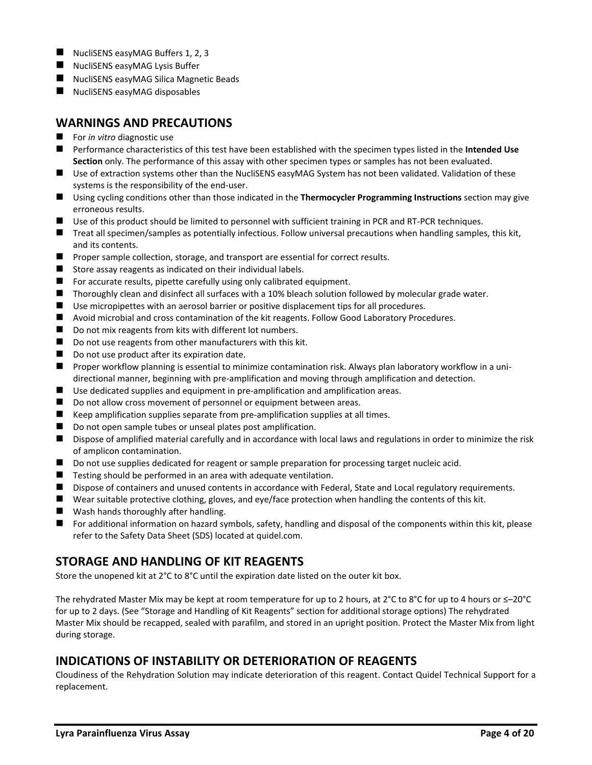- NucliSENS easyMAG Buffers 1, 2, 3
- NucliSENS easyMAG Lysis Buffer
- NucliSENS easyMAG Silica Magnetic Beads
- NucliSENS easyMAG disposables

## <span id="page-3-0"></span>**WARNINGS AND PRECAUTIONS**

- For *in vitro* diagnostic use
- Performance characteristics of this test have been established with the specimen types listed in the Intended Use **Section** only. The performance of this assay with other specimen types or samples has not been evaluated.
- Use of extraction systems other than the NucliSENS easyMAG System has not been validated. Validation of these systems is the responsibility of the end-user.
- Using cycling conditions other than those indicated in the **Thermocycler Programming Instructions** section may give erroneous results.
- Use of this product should be limited to personnel with sufficient training in PCR and RT-PCR techniques.
- Treat all specimen/samples as potentially infectious. Follow universal precautions when handling samples, this kit, and its contents.
- Proper sample collection, storage, and transport are essential for correct results.
- Store assay reagents as indicated on their individual labels.
- For accurate results, pipette carefully using only calibrated equipment.
- Thoroughly clean and disinfect all surfaces with a 10% bleach solution followed by molecular grade water.
- Use micropipettes with an aerosol barrier or positive displacement tips for all procedures.
- Avoid microbial and cross contamination of the kit reagents. Follow Good Laboratory Procedures.
- Do not mix reagents from kits with different lot numbers.
- Do not use reagents from other manufacturers with this kit.
- Do not use product after its expiration date.
- Proper workflow planning is essential to minimize contamination risk. Always plan laboratory workflow in a unidirectional manner, beginning with pre-amplification and moving through amplification and detection.
- Use dedicated supplies and equipment in pre-amplification and amplification areas.
- Do not allow cross movement of personnel or equipment between areas.
- Keep amplification supplies separate from pre-amplification supplies at all times.
- Do not open sample tubes or unseal plates post amplification.
- Dispose of amplified material carefully and in accordance with local laws and regulations in order to minimize the risk of amplicon contamination.
- Do not use supplies dedicated for reagent or sample preparation for processing target nucleic acid.
- Testing should be performed in an area with adequate ventilation.
- Dispose of containers and unused contents in accordance with Federal, State and Local regulatory requirements.
- Wear suitable protective clothing, gloves, and eye/face protection when handling the contents of this kit.
- Wash hands thoroughly after handling.
- For additional information on hazard symbols, safety, handling and disposal of the components within this kit, please refer to the Safety Data Sheet (SDS) located at quidel.com.

# <span id="page-3-1"></span>**STORAGE AND HANDLING OF KIT REAGENTS**

Store the unopened kit at 2°C to 8°C until the expiration date listed on the outer kit box.

The rehydrated Master Mix may be kept at room temperature for up to 2 hours, at 2°C to 8°C for up to 4 hours or ≤–20°C for up to 2 days. (See "Storage and Handling of Kit Reagents" section for additional storage options) The rehydrated Master Mix should be recapped, sealed with parafilm, and stored in an upright position. Protect the Master Mix from light during storage.

# <span id="page-3-2"></span>**INDICATIONS OF INSTABILITY OR DETERIORATION OF REAGENTS**

Cloudiness of the Rehydration Solution may indicate deterioration of this reagent. Contact Quidel Technical Support for a replacement.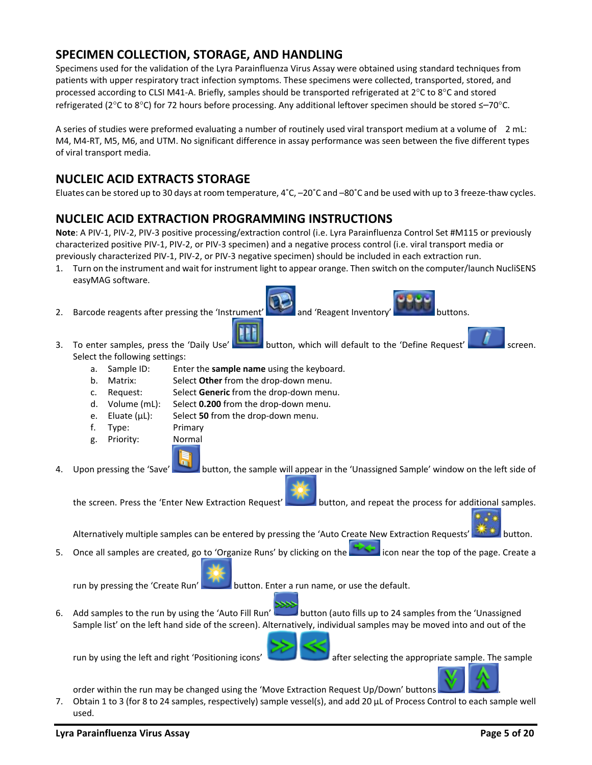# <span id="page-4-0"></span>**SPECIMEN COLLECTION, STORAGE, AND HANDLING**

Specimens used for the validation of the Lyra Parainfluenza Virus Assay were obtained using standard techniques from patients with upper respiratory tract infection symptoms. These specimens were collected, transported, stored, and processed according to CLSI M41-A. Briefly, samples should be transported refrigerated at  $2^{\circ}$ C to  $8^{\circ}$ C and stored refrigerated (2°C to 8°C) for 72 hours before processing. Any additional leftover specimen should be stored ≤-70°C.

A series of studies were preformed evaluating a number of routinely used viral transport medium at a volume of 2 mL: M4, M4-RT, M5, M6, and UTM. No significant difference in assay performance was seen between the five different types of viral transport media.

# <span id="page-4-1"></span>**NUCLEIC ACID EXTRACTS STORAGE**

Eluates can be stored up to 30 days at room temperature, 4˚C, –20˚C and –80˚C and be used with up to 3 freeze-thaw cycles.

# <span id="page-4-2"></span>**NUCLEIC ACID EXTRACTION PROGRAMMING INSTRUCTIONS**

**Note**: A PIV-1, PIV-2, PIV-3 positive processing/extraction control (i.e. Lyra Parainfluenza Control Set #M115 or previously characterized positive PIV-1, PIV-2, or PIV-3 specimen) and a negative process control (i.e. viral transport media or previously characterized PIV-1, PIV-2, or PIV-3 negative specimen) should be included in each extraction run.

- 1. Turn on the instrument and wait for instrument light to appear orange. Then switch on the computer/launch NucliSENS easyMAG software.
- 2. Barcode reagents after pressing the 'Instrument' and 'Reagent Inventory' buttons.



- a. Sample ID: Enter the **sample name** using the keyboard.
- b. Matrix: Select **Other** from the drop-down menu.
- c. Request: Select **Generic** from the drop-down menu.
- d. Volume (mL): Select **0.200** from the drop-down menu.
- e. Eluate (µL): Select **50** from the drop-down menu.
- f. Type: Primary
- g. Priority: Normal



4. Upon pressing the 'Save' button, the sample will appear in the 'Unassigned Sample' window on the left side of

the screen. Press the 'Enter New Extraction Request' button, and repeat the process for additional samples.

Alternatively multiple samples can be entered by pressing the 'Auto Create New Extraction Requests' **An industrial** button.

5. Once all samples are created, go to 'Organize Runs' by clicking on the intermedicon near the top of the page. Create a

run by pressing the 'Create Run' button. Enter a run name, or use the default.

6. Add samples to the run by using the 'Auto Fill Run' button (auto fills up to 24 samples from the 'Unassigned Sample list' on the left hand side of the screen). Alternatively, individual samples may be moved into and out of the

run by using the left and right 'Positioning icons' after selecting the appropriate sample. The sample



- order within the run may be changed using the 'Move Extraction Request Up/Down' buttons .
- 7. Obtain 1 to 3 (for 8 to 24 samples, respectively) sample vessel(s), and add 20 µL of Process Control to each sample well used.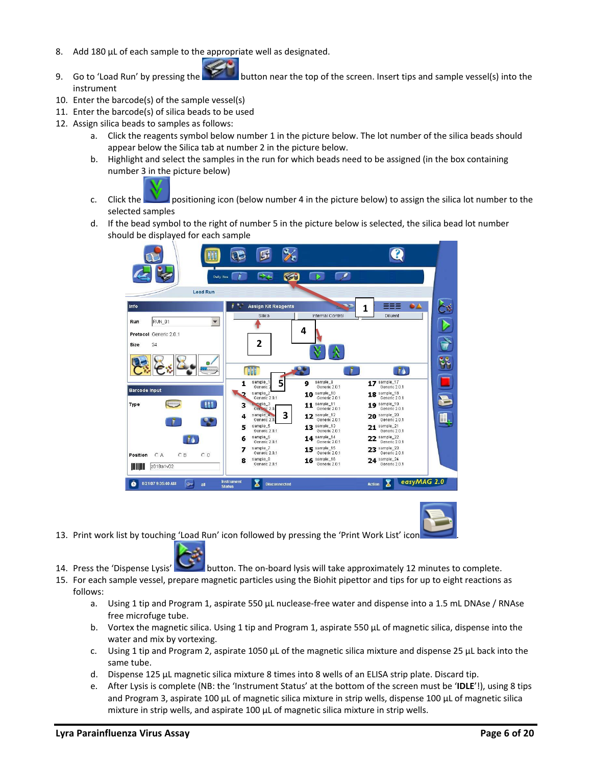- 8. Add 180 µL of each sample to the appropriate well as designated.
- 9. Go to 'Load Run' by pressing the **button near the top of the screen.** Insert tips and sample vessel(s) into the instrument
- 10. Enter the barcode(s) of the sample vessel(s)
- 11. Enter the barcode(s) of silica beads to be used
- 12. Assign silica beads to samples as follows:
	- a. Click the reagents symbol below number 1 in the picture below. The lot number of the silica beads should appear below the Silica tab at number 2 in the picture below.
	- b. Highlight and select the samples in the run for which beads need to be assigned (in the box containing number 3 in the picture below)



c. Click the positioning icon (below number 4 in the picture below) to assign the silica lot number to the selected samples

d. If the bead symbol to the right of number 5 in the picture below is selected, the silica bead lot number should be displayed for each sample





- 13. Print work list by touching 'Load Run' icon followed by pressing the 'Print Work List' icon .
- 14. Press the 'Dispense Lysis' button. The on-board lysis will take approximately 12 minutes to complete.
- 15. For each sample vessel, prepare magnetic particles using the Biohit pipettor and tips for up to eight reactions as follows:
	- a. Using 1 tip and Program 1, aspirate 550 µL nuclease-free water and dispense into a 1.5 mL DNAse / RNAse free microfuge tube.
	- b. Vortex the magnetic silica. Using 1 tip and Program 1, aspirate 550 µL of magnetic silica, dispense into the water and mix by vortexing.
	- c. Using 1 tip and Program 2, aspirate 1050  $\mu$ L of the magnetic silica mixture and dispense 25  $\mu$ L back into the same tube.
	- d. Dispense 125 µL magnetic silica mixture 8 times into 8 wells of an ELISA strip plate. Discard tip.
	- e. After Lysis is complete (NB: the 'Instrument Status' at the bottom of the screen must be '**IDLE**'!), using 8 tips and Program 3, aspirate 100 µL of magnetic silica mixture in strip wells, dispense 100 µL of magnetic silica mixture in strip wells, and aspirate 100 µL of magnetic silica mixture in strip wells.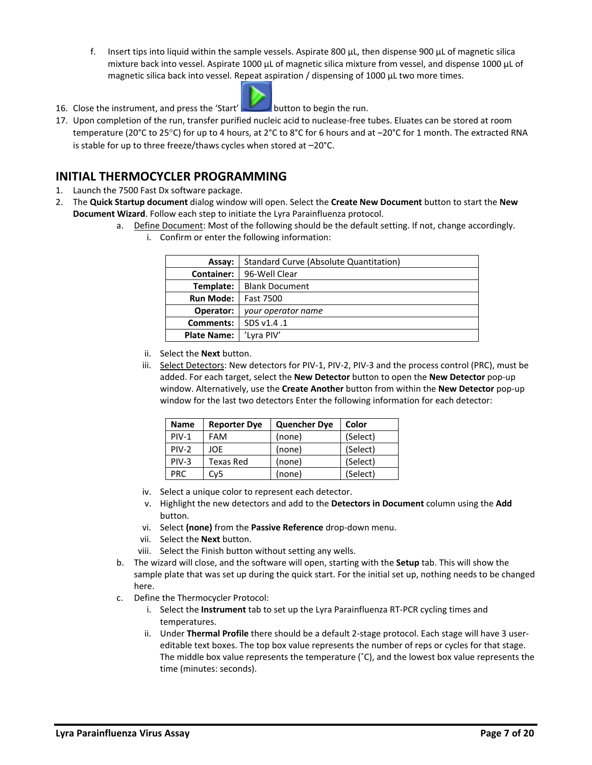f. Insert tips into liquid within the sample vessels. Aspirate 800  $\mu$ L, then dispense 900  $\mu$ L of magnetic silica mixture back into vessel. Aspirate 1000 µL of magnetic silica mixture from vessel, and dispense 1000 µL of magnetic silica back into vessel. Repeat aspiration / dispensing of 1000 µL two more times.



16. Close the instrument, and press the 'Start' button to begin the run.

17. Upon completion of the run, transfer purified nucleic acid to nuclease-free tubes. Eluates can be stored at room temperature (20°C to 25°C) for up to 4 hours, at 2°C to 8°C for 6 hours and at -20°C for 1 month. The extracted RNA is stable for up to three freeze/thaws cycles when stored at –20°C.

### <span id="page-6-0"></span>**INITIAL THERMOCYCLER PROGRAMMING**

- 1. Launch the 7500 Fast Dx software package.
- 2. The **Quick Startup document** dialog window will open. Select the **Create New Document** button to start the **New Document Wizard**. Follow each step to initiate the Lyra Parainfluenza protocol.
	- a. Define Document: Most of the following should be the default setting. If not, change accordingly.
		- i. Confirm or enter the following information:

| Assay:             | Standard Curve (Absolute Quantitation) |  |  |
|--------------------|----------------------------------------|--|--|
| Container: I       | 96-Well Clear                          |  |  |
| Template:          | <b>Blank Document</b>                  |  |  |
| <b>Run Mode:</b>   | Fast 7500                              |  |  |
| Operator:          | your operator name                     |  |  |
| Comments:          | SDS v1.4.1                             |  |  |
| <b>Plate Name:</b> | 'Lyra PIV'                             |  |  |

- ii. Select the **Next** button.
- iii. Select Detectors: New detectors for PIV-1, PIV-2, PIV-3 and the process control (PRC), must be added. For each target, select the **New Detector** button to open the **New Detector** pop-up window. Alternatively, use the **Create Another** button from within the **New Detector** pop-up window for the last two detectors Enter the following information for each detector:

| <b>Name</b> | <b>Reporter Dye</b> | <b>Quencher Dye</b> | Color    |
|-------------|---------------------|---------------------|----------|
| $PIV-1$     | <b>FAM</b>          | (none)              | (Select) |
| $PIV-2$     | JOF.                | (none)              | (Select) |
| $PIV-3$     | <b>Texas Red</b>    | (none)              | (Select) |
| PRC.        | Cv5                 | (none)              | (Select) |

- iv. Select a unique color to represent each detector.
- v. Highlight the new detectors and add to the **Detectors in Document** column using the **Add**  button.
- vi. Select **(none)** from the **Passive Reference** drop-down menu.
- vii. Select the **Next** button.
- viii. Select the Finish button without setting any wells.
- b. The wizard will close, and the software will open, starting with the **Setup** tab. This will show the sample plate that was set up during the quick start. For the initial set up, nothing needs to be changed here.
- c. Define the Thermocycler Protocol:
	- i. Select the **Instrument** tab to set up the Lyra Parainfluenza RT-PCR cycling times and temperatures.
	- ii. Under **Thermal Profile** there should be a default 2-stage protocol. Each stage will have 3 usereditable text boxes. The top box value represents the number of reps or cycles for that stage. The middle box value represents the temperature (˚C), and the lowest box value represents the time (minutes: seconds).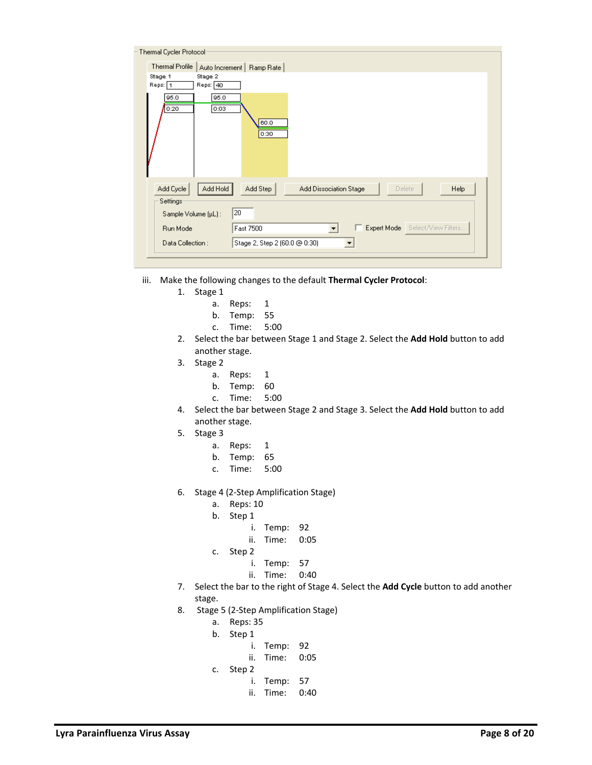| Thermal Cycler Protocol-                  |                                                                      |
|-------------------------------------------|----------------------------------------------------------------------|
| Thermal Profile<br>Auto Increment         | Ramp Rate                                                            |
| Stage 2<br>Stage 1<br>Reps: 1<br>Reps: 40 |                                                                      |
| 95.0<br>95.0<br>0:20<br>0:03              | 60.0<br>0:30                                                         |
| Add Hold<br>Add Cycle                     | Add Step<br><b>Add Dissociation Stage</b><br><b>Help</b><br>Delete   |
| Settings<br>Sample Volume (µL):           | 20                                                                   |
|                                           |                                                                      |
| Run Mode                                  | Expert Mode Select/View Filters<br>Fast 7500<br>$\blacktriangledown$ |
| Data Collection:                          | Stage 2, Step 2 (60.0 @ 0:30)                                        |
|                                           |                                                                      |

- iii. Make the following changes to the default **Thermal Cycler Protocol**:
	- 1. Stage 1
		- a. Reps: 1
		- b. Temp: 55
		- c. Time: 5:00
	- 2. Select the bar between Stage 1 and Stage 2. Select the **Add Hold** button to add another stage.
	- 3. Stage 2
		- a. Reps: 1
		- b. Temp: 60
		- c. Time: 5:00
	- 4. Select the bar between Stage 2 and Stage 3. Select the **Add Hold** button to add another stage.
	- 5. Stage 3
		- a. Reps: 1
		- b. Temp: 65
		- c. Time: 5:00
	- 6. Stage 4 (2-Step Amplification Stage)
		- a. Reps: 10
		- b. Step 1
			- i. Temp: 92
			- ii. Time: 0:05
		- c. Step 2
			- i. Temp: 57
			- ii. Time: 0:40
	- 7. Select the bar to the right of Stage 4. Select the **Add Cycle** button to add another stage.
	- 8. Stage 5 (2-Step Amplification Stage)
		- a. Reps: 35
		- b. Step 1
			- i. Temp: 92
			- ii. Time: 0:05
		- c. Step 2
			- i. Temp: 57
			- ii. Time: 0:40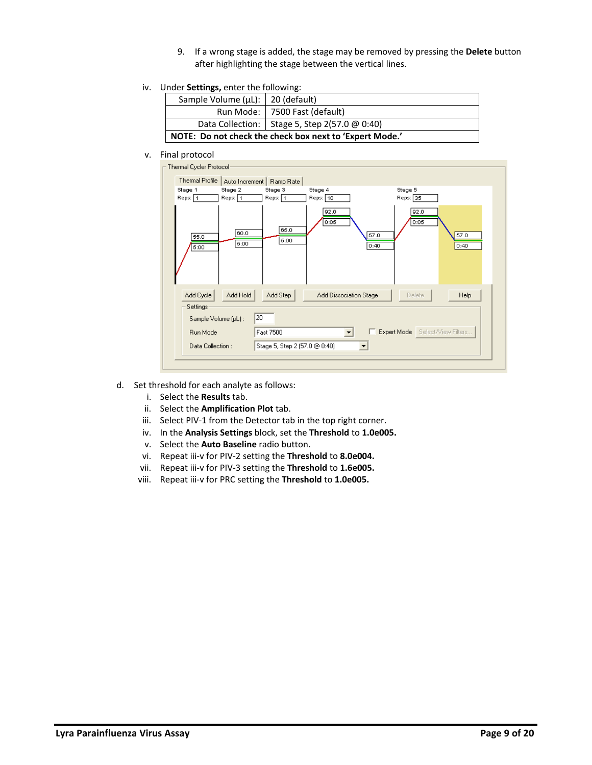- 9. If a wrong stage is added, the stage may be removed by pressing the **Delete** button after highlighting the stage between the vertical lines.
- iv. Under **Settings,** enter the following:

| Sample Volume (µL):   20 (default)                      |                                                 |  |  |
|---------------------------------------------------------|-------------------------------------------------|--|--|
|                                                         | Run Mode:   7500 Fast (default)                 |  |  |
|                                                         | Data Collection:   Stage 5, Step 2(57.0 @ 0:40) |  |  |
| NOTE: Do not check the check box next to 'Expert Mode.' |                                                 |  |  |

#### v. Final protocol

| Thermal Cycler Protocol<br>Thermal Profile |                    | Auto Increment   Ramp Rate    |                        |                                       |              |
|--------------------------------------------|--------------------|-------------------------------|------------------------|---------------------------------------|--------------|
| Stage 1<br>Reps: 1                         | Stage 2<br>Reps: 1 | Stage 3<br>Reps: 1            | Stage 4<br>Reps: 10    | Stage 5<br>Reps: 35                   |              |
| 55.0<br>5:00                               | 60.0<br>5:00       | 65.0<br>5:00                  | 92.0<br>0:05           | 92.0<br>0:05<br>57.0<br>0:40          | 57.0<br>0:40 |
| Add Cycle<br>Settings                      | Add Hold           | Add Step                      | Add Dissociation Stage | Delete                                | Help         |
| Sample Volume (µL):                        |                    | 20                            |                        |                                       |              |
| Run Mode                                   |                    | Fast 7500                     |                        | Expert Mode Select/View Filters<br>п. |              |
| Data Collection:                           |                    | Stage 5, Step 2 (57.0 @ 0:40) |                        |                                       |              |
|                                            |                    |                               |                        |                                       |              |

- d. Set threshold for each analyte as follows:
	- i. Select the **Results** tab.
	- ii. Select the **Amplification Plot** tab.
	- iii. Select PIV-1 from the Detector tab in the top right corner.
	- iv. In the **Analysis Settings** block, set the **Threshold** to **1.0e005.**
	- v. Select the **Auto Baseline** radio button.
	- vi. Repeat iii-v for PIV-2 setting the **Threshold** to **8.0e004.**
	- vii. Repeat iii-v for PIV-3 setting the **Threshold** to **1.6e005.**
	- viii. Repeat iii-v for PRC setting the **Threshold** to **1.0e005.**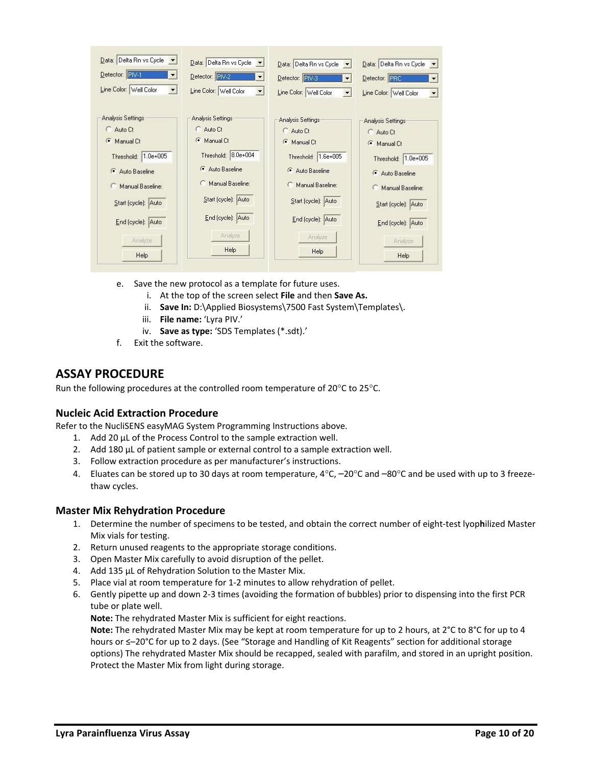| Data: Delta Rn vs Cycle v | Data: Delta Rn vs Cycle<br>$\left  \cdot \right $  | Data: Delta Rn vs Cycle<br>$\mathbf{v}$ | Data: Delta Rn vs Cycle v                      |
|---------------------------|----------------------------------------------------|-----------------------------------------|------------------------------------------------|
| Detector: FIV-1           | Detector: PIV-2<br>$\blacktriangledown$            | Detector: FIV-3<br>▼                    | Detector: PRC<br>$\blacktriangledown$          |
| Line Color: Well Color    | Line Color: Well Color<br>$\overline{\phantom{a}}$ | Line Color: Well Color                  | Line Color: Well Color<br>$\blacktriangledown$ |
| <b>Analysis Settings</b>  | Analysis Settings                                  | Analysis Settings                       | Analysis Settings                              |
| Auto Ct                   | Auto Ct                                            | Auto Ct                                 | C Auto Ct                                      |
| $\sqrt{2}$<br>Manual Ct   | Manual Ct                                          | Manual Ct                               | Manual Ct                                      |
| Threshold: 1.0e+005       | Threshold: 8.0e+004                                | Threshold: 1.6e+005                     | Threshold: 1.0e+005                            |
| Auto Baseline             | Auto Baseline                                      | Auto Baseline                           | Auto Baseline                                  |
| Manual Baseline:          | Manual Baseline:                                   | Manual Baseline:                        | Manual Baseline:                               |
| Start (cycle): Auto       | Start (cycle): Auto                                | Start (cycle): Auto                     | Start (cycle): Auto                            |
| End (cycle): Auto         | End (cycle): Auto                                  | End (cycle): Auto                       | End (cycle): Auto                              |
| Analyze                   | Analyze                                            | Analyze                                 | Analyze                                        |
| Help                      | Help                                               | Help                                    | Help                                           |

- e. Save the new protocol as a template for future uses.
	- i. At the top of the screen select **File** and then **Save As.**
	- ii. **Save In:** D:\Applied Biosystems\7500 Fast System\Templates\.
	- iii. **File name:** 'Lyra PIV.'
	- iv. **Save as type:** 'SDS Templates (\*.sdt).'
- f. Exit the software.

### <span id="page-9-0"></span>**ASSAY PROCEDURE**

Run the following procedures at the controlled room temperature of 20°C to 25°C.

#### <span id="page-9-1"></span>**Nucleic Acid Extraction Procedure**

Refer to the NucliSENS easyMAG System Programming Instructions above.

- 1. Add 20 µL of the Process Control to the sample extraction well.
- 2. Add 180 µL of patient sample or external control to a sample extraction well.
- 3. Follow extraction procedure as per manufacturer's instructions.
- 4. Eluates can be stored up to 30 days at room temperature,  $4^{\circ}$ C,  $-20^{\circ}$ C and  $-80^{\circ}$ C and be used with up to 3 freezethaw cycles.

#### <span id="page-9-2"></span>**Master Mix Rehydration Procedure**

- 1. Determine the number of specimens to be tested, and obtain the correct number of eight-test lyop**h**ilized Master Mix vials for testing.
- 2. Return unused reagents to the appropriate storage conditions.
- 3. Open Master Mix carefully to avoid disruption of the pellet.
- 4. Add 135 µL of Rehydration Solution to the Master Mix.
- 5. Place vial at room temperature for 1-2 minutes to allow rehydration of pellet.
- 6. Gently pipette up and down 2-3 times (avoiding the formation of bubbles) prior to dispensing into the first PCR tube or plate well.

**Note:** The rehydrated Master Mix is sufficient for eight reactions.

**Note:** The rehydrated Master Mix may be kept at room temperature for up to 2 hours, at 2°C to 8°C for up to 4 hours or ≤–20°C for up to 2 days. (See "Storage and Handling of Kit Reagents" section for additional storage options) The rehydrated Master Mix should be recapped, sealed with parafilm, and stored in an upright position. Protect the Master Mix from light during storage.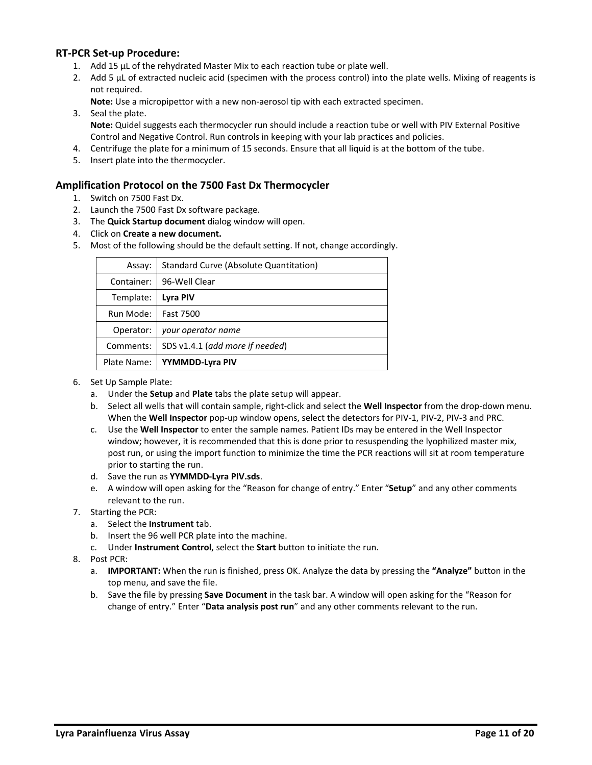#### <span id="page-10-0"></span>**RT-PCR Set-up Procedure:**

- 1. Add 15 µL of the rehydrated Master Mix to each reaction tube or plate well.
- 2. Add 5 µL of extracted nucleic acid (specimen with the process control) into the plate wells. Mixing of reagents is not required.

**Note:** Use a micropipettor with a new non-aerosol tip with each extracted specimen.

- 3. Seal the plate. **Note:** Quidel suggests each thermocycler run should include a reaction tube or well with PIV External Positive Control and Negative Control. Run controls in keeping with your lab practices and policies.
- 4. Centrifuge the plate for a minimum of 15 seconds. Ensure that all liquid is at the bottom of the tube.
- 5. Insert plate into the thermocycler.

#### <span id="page-10-1"></span>**Amplification Protocol on the 7500 Fast Dx Thermocycler**

- 1. Switch on 7500 Fast Dx.
- 2. Launch the 7500 Fast Dx software package.
- 3. The **Quick Startup document** dialog window will open.
- 4. Click on **Create a new document.**
- 5. Most of the following should be the default setting. If not, change accordingly.

| Assay:      | Standard Curve (Absolute Quantitation) |
|-------------|----------------------------------------|
| Container:  | 96-Well Clear                          |
| Template:   | Lyra PIV                               |
| Run Mode:   | Fast 7500                              |
| Operator:   | your operator name                     |
| Comments:   | SDS v1.4.1 (add more if needed)        |
| Plate Name: | YYMMDD-Lyra PIV                        |

- 6. Set Up Sample Plate:
	- a. Under the **Setup** and **Plate** tabs the plate setup will appear.
	- b. Select all wells that will contain sample, right-click and select the **Well Inspector** from the drop-down menu. When the **Well Inspector** pop-up window opens, select the detectors for PIV-1, PIV-2, PIV-3 and PRC.
	- c. Use the **Well Inspector** to enter the sample names. Patient IDs may be entered in the Well Inspector window; however, it is recommended that this is done prior to resuspending the lyophilized master mix, post run, or using the import function to minimize the time the PCR reactions will sit at room temperature prior to starting the run.
	- d. Save the run as **YYMMDD-Lyra PIV.sds**.
	- e. A window will open asking for the "Reason for change of entry." Enter "**Setup**" and any other comments relevant to the run.
- 7. Starting the PCR:
	- a. Select the **Instrument** tab.
	- b. Insert the 96 well PCR plate into the machine.
	- c. Under **Instrument Control**, select the **Start** button to initiate the run.
- 8. Post PCR:
	- a. **IMPORTANT:** When the run is finished, press OK. Analyze the data by pressing the **"Analyze"** button in the top menu, and save the file.
	- b. Save the file by pressing **Save Document** in the task bar. A window will open asking for the "Reason for change of entry." Enter "**Data analysis post run**" and any other comments relevant to the run.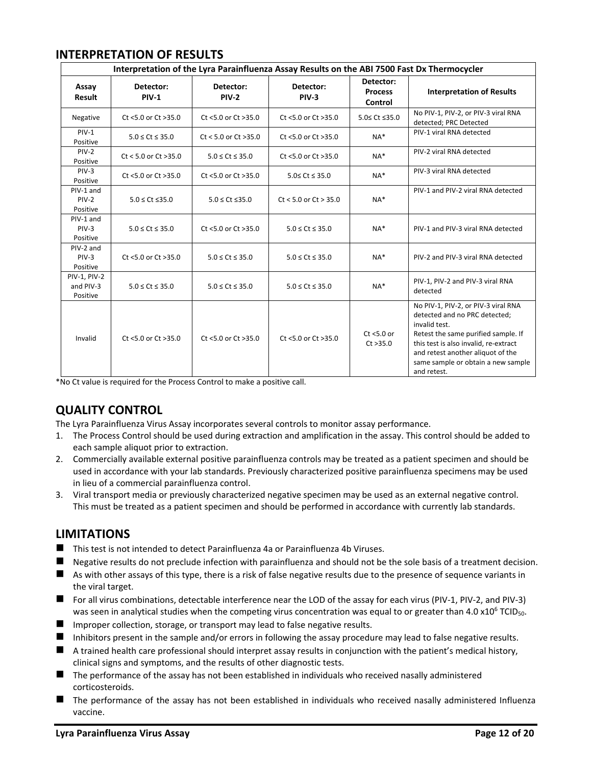## <span id="page-11-0"></span>**INTERPRETATION OF RESULTS**

| Interpretation of the Lyra Parainfluenza Assay Results on the ABI 7500 Fast Dx Thermocycler |                            |                            |                            |                                        |                                                                                                                                                                                                                                                                 |
|---------------------------------------------------------------------------------------------|----------------------------|----------------------------|----------------------------|----------------------------------------|-----------------------------------------------------------------------------------------------------------------------------------------------------------------------------------------------------------------------------------------------------------------|
| Assay<br>Result                                                                             | Detector:<br><b>PIV-1</b>  | Detector:<br><b>PIV-2</b>  | Detector:<br><b>PIV-3</b>  | Detector:<br><b>Process</b><br>Control | <b>Interpretation of Results</b>                                                                                                                                                                                                                                |
| Negative                                                                                    | Ct <5.0 or Ct >35.0        | Ct <5.0 or Ct >35.0        | Ct <5.0 or Ct >35.0        | 5.0≤ Ct ≤35.0                          | No PIV-1, PIV-2, or PIV-3 viral RNA<br>detected; PRC Detected                                                                                                                                                                                                   |
| $PIV-1$<br>Positive                                                                         | $5.0 \leq C$ t $\leq 35.0$ | $Ct < 5.0$ or $Ct > 35.0$  | Ct <5.0 or Ct >35.0        | $NA*$                                  | PIV-1 viral RNA detected                                                                                                                                                                                                                                        |
| $PIV-2$<br>Positive                                                                         | $Ct < 5.0$ or $Ct > 35.0$  | $5.0 \leq C$ t $\leq 35.0$ | Ct <5.0 or Ct >35.0        | $NA*$                                  | PIV-2 viral RNA detected                                                                                                                                                                                                                                        |
| $PIV-3$<br>Positive                                                                         | Ct <5.0 or Ct >35.0        | Ct <5.0 or Ct >35.0        | $5.0 \leq Ct \leq 35.0$    | $NA*$                                  | PIV-3 viral RNA detected                                                                                                                                                                                                                                        |
| PIV-1 and<br>$PIV-2$<br>Positive                                                            | $5.0 \leq Ct \leq 35.0$    | $5.0 \leq Ct \leq 35.0$    | $Ct < 5.0$ or $Ct > 35.0$  | $NA*$                                  | PIV-1 and PIV-2 viral RNA detected                                                                                                                                                                                                                              |
| PIV-1 and<br>$PIV-3$<br>Positive                                                            | $5.0 \leq C t \leq 35.0$   | $Ct$ <5.0 or $Ct$ >35.0    | $5.0 \leq C t \leq 35.0$   | $NA*$                                  | PIV-1 and PIV-3 viral RNA detected                                                                                                                                                                                                                              |
| PIV-2 and<br>$PIV-3$<br>Positive                                                            | Ct <5.0 or Ct >35.0        | $5.0 \leq C$ t $\leq 35.0$ | $5.0 \leq C$ t $\leq 35.0$ | $NA*$                                  | PIV-2 and PIV-3 viral RNA detected                                                                                                                                                                                                                              |
| <b>PIV-1, PIV-2</b><br>and PIV-3<br>Positive                                                | $5.0 \leq Ct \leq 35.0$    | $5.0 \leq C$ t $\leq 35.0$ | $5.0 \leq C$ t $\leq 35.0$ | $NA*$                                  | PIV-1, PIV-2 and PIV-3 viral RNA<br>detected                                                                                                                                                                                                                    |
| Invalid                                                                                     | Ct <5.0 or Ct >35.0        | Ct <5.0 or Ct >35.0        | Ct <5.0 or Ct >35.0        | $Ct$ <5.0 or<br>Ct > 35.0              | No PIV-1, PIV-2, or PIV-3 viral RNA<br>detected and no PRC detected;<br>invalid test.<br>Retest the same purified sample. If<br>this test is also invalid, re-extract<br>and retest another aliquot of the<br>same sample or obtain a new sample<br>and retest. |

\*No Ct value is required for the Process Control to make a positive call.

# <span id="page-11-1"></span>**QUALITY CONTROL**

The Lyra Parainfluenza Virus Assay incorporates several controls to monitor assay performance.

- 1. The Process Control should be used during extraction and amplification in the assay. This control should be added to each sample aliquot prior to extraction.
- 2. Commercially available external positive parainfluenza controls may be treated as a patient specimen and should be used in accordance with your lab standards. Previously characterized positive parainfluenza specimens may be used in lieu of a commercial parainfluenza control.
- 3. Viral transport media or previously characterized negative specimen may be used as an external negative control. This must be treated as a patient specimen and should be performed in accordance with currently lab standards.

### <span id="page-11-2"></span>**LIMITATIONS**

- This test is not intended to detect Parainfluenza 4a or Parainfluenza 4b Viruses.
- Negative results do not preclude infection with parainfluenza and should not be the sole basis of a treatment decision.
- As with other assays of this type, there is a risk of false negative results due to the presence of sequence variants in the viral target.
- For all virus combinations, detectable interference near the LOD of the assay for each virus (PIV-1, PIV-2, and PIV-3) was seen in analytical studies when the competing virus concentration was equal to or greater than 4.0  $\times10^6$  TCID<sub>50</sub>.
- Improper collection, storage, or transport may lead to false negative results.
- Inhibitors present in the sample and/or errors in following the assay procedure may lead to false negative results.
- A trained health care professional should interpret assay results in conjunction with the patient's medical history, clinical signs and symptoms, and the results of other diagnostic tests.
- The performance of the assay has not been established in individuals who received nasally administered corticosteroids.
- The performance of the assay has not been established in individuals who received nasally administered Influenza vaccine.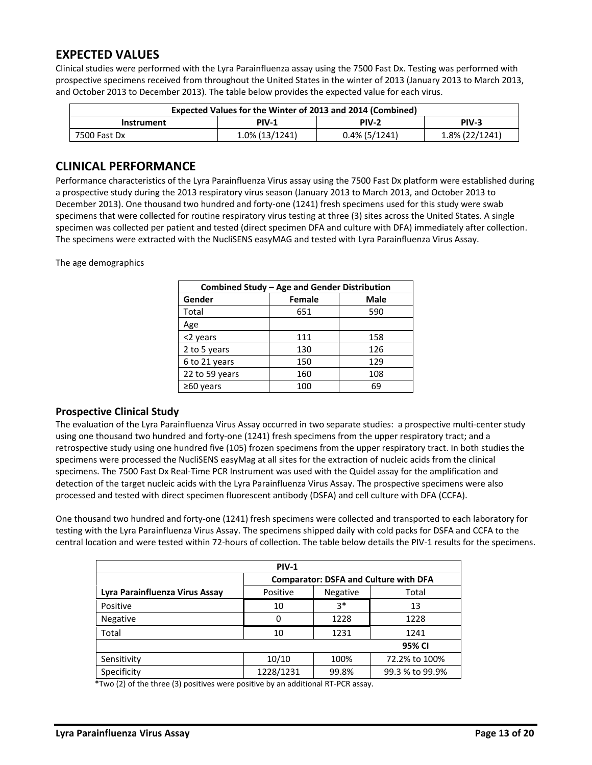# <span id="page-12-0"></span>**EXPECTED VALUES**

Clinical studies were performed with the Lyra Parainfluenza assay using the 7500 Fast Dx. Testing was performed with prospective specimens received from throughout the United States in the winter of 2013 (January 2013 to March 2013, and October 2013 to December 2013). The table below provides the expected value for each virus.

| Expected Values for the Winter of 2013 and 2014 (Combined) |                |                  |                |
|------------------------------------------------------------|----------------|------------------|----------------|
| PIV-2<br><b>PIV-1</b><br><b>PIV-3</b><br><b>Instrument</b> |                |                  |                |
| 7500 Fast Dx                                               | 1.0% (13/1241) | $0.4\%$ (5/1241) | 1.8% (22/1241) |

## <span id="page-12-1"></span>**CLINICAL PERFORMANCE**

Performance characteristics of the Lyra Parainfluenza Virus assay using the 7500 Fast Dx platform were established during a prospective study during the 2013 respiratory virus season (January 2013 to March 2013, and October 2013 to December 2013). One thousand two hundred and forty-one (1241) fresh specimens used for this study were swab specimens that were collected for routine respiratory virus testing at three (3) sites across the United States. A single specimen was collected per patient and tested (direct specimen DFA and culture with DFA) immediately after collection. The specimens were extracted with the NucliSENS easyMAG and tested with Lyra Parainfluenza Virus Assay.

The age demographics

| Combined Study - Age and Gender Distribution |               |     |  |  |
|----------------------------------------------|---------------|-----|--|--|
| Gender                                       | <b>Female</b> |     |  |  |
| Total                                        | 651           | 590 |  |  |
| Age                                          |               |     |  |  |
| <2 years                                     | 111           | 158 |  |  |
| 2 to 5 years                                 | 130           | 126 |  |  |
| 6 to 21 years                                | 150           | 129 |  |  |
| 22 to 59 years                               | 160           | 108 |  |  |
| $\geq 60$ years                              | 100           | 69  |  |  |

#### **Prospective Clinical Study**

The evaluation of the Lyra Parainfluenza Virus Assay occurred in two separate studies: a prospective multi-center study using one thousand two hundred and forty-one (1241) fresh specimens from the upper respiratory tract; and a retrospective study using one hundred five (105) frozen specimens from the upper respiratory tract. In both studies the specimens were processed the NucliSENS easyMag at all sites for the extraction of nucleic acids from the clinical specimens. The 7500 Fast Dx Real-Time PCR Instrument was used with the Quidel assay for the amplification and detection of the target nucleic acids with the Lyra Parainfluenza Virus Assay. The prospective specimens were also processed and tested with direct specimen fluorescent antibody (DSFA) and cell culture with DFA (CCFA).

One thousand two hundred and forty-one (1241) fresh specimens were collected and transported to each laboratory for testing with the Lyra Parainfluenza Virus Assay. The specimens shipped daily with cold packs for DSFA and CCFA to the central location and were tested within 72-hours of collection. The table below details the PIV-1 results for the specimens.

| <b>PIV-1</b>                   |                                              |          |                 |
|--------------------------------|----------------------------------------------|----------|-----------------|
|                                | <b>Comparator: DSFA and Culture with DFA</b> |          |                 |
| Lyra Parainfluenza Virus Assay | Positive                                     | Negative | Total           |
| Positive                       | 10                                           | $3*$     | 13              |
| <b>Negative</b>                | 0                                            | 1228     | 1228            |
| Total                          | 10                                           | 1231     | 1241            |
|                                |                                              |          | 95% CI          |
| Sensitivity                    | 10/10                                        | 100%     | 72.2% to 100%   |
| Specificity                    | 1228/1231                                    | 99.8%    | 99.3 % to 99.9% |

\*Two (2) of the three (3) positives were positive by an additional RT-PCR assay.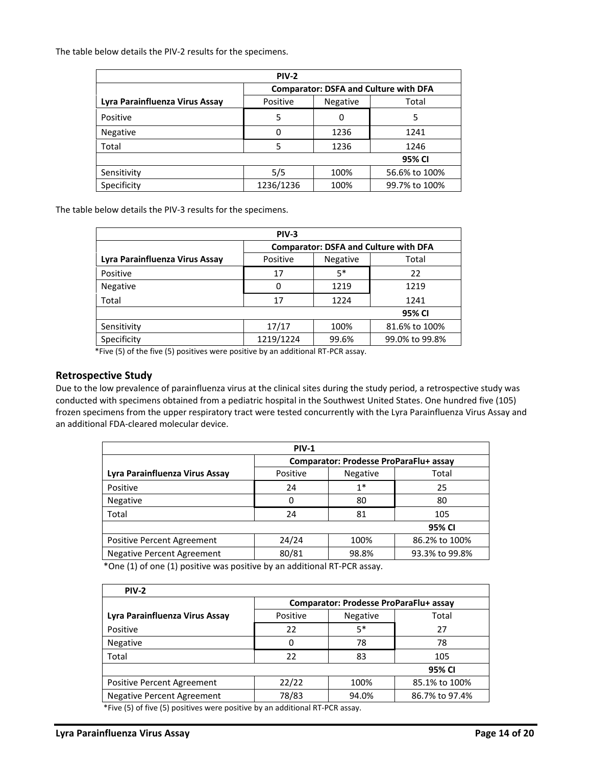The table below details the PIV-2 results for the specimens.

| <b>PIV-2</b>                   |                                              |                 |               |  |
|--------------------------------|----------------------------------------------|-----------------|---------------|--|
|                                | <b>Comparator: DSFA and Culture with DFA</b> |                 |               |  |
| Lyra Parainfluenza Virus Assay | Positive                                     | <b>Negative</b> | Total         |  |
| Positive                       | 5                                            | 0               | 5             |  |
| <b>Negative</b>                | 0                                            | 1236            | 1241          |  |
| Total                          | 5                                            | 1236            | 1246          |  |
| 95% CI                         |                                              |                 |               |  |
| Sensitivity                    | 5/5                                          | 100%            | 56.6% to 100% |  |
| Specificity                    | 1236/1236                                    | 100%            | 99.7% to 100% |  |

The table below details the PIV-3 results for the specimens.

| <b>PIV-3</b>                   |                                              |                 |                |  |
|--------------------------------|----------------------------------------------|-----------------|----------------|--|
|                                | <b>Comparator: DSFA and Culture with DFA</b> |                 |                |  |
| Lyra Parainfluenza Virus Assay | Positive                                     | <b>Negative</b> | Total          |  |
| Positive                       | 17                                           | $5*$            | 22             |  |
| <b>Negative</b>                | 0                                            | 1219            | 1219           |  |
| Total                          | 17                                           | 1224            | 1241           |  |
| 95% CI                         |                                              |                 |                |  |
| Sensitivity                    | 17/17                                        | 100%            | 81.6% to 100%  |  |
| Specificity                    | 1219/1224                                    | 99.6%           | 99.0% to 99.8% |  |
|                                |                                              |                 |                |  |

\*Five (5) of the five (5) positives were positive by an additional RT-PCR assay.

#### <span id="page-13-0"></span>**Retrospective Study**

Due to the low prevalence of parainfluenza virus at the clinical sites during the study period, a retrospective study was conducted with specimens obtained from a pediatric hospital in the Southwest United States. One hundred five (105) frozen specimens from the upper respiratory tract were tested concurrently with the Lyra Parainfluenza Virus Assay and an additional FDA-cleared molecular device.

| <b>PIV-1</b>                      |                                        |                 |                |  |
|-----------------------------------|----------------------------------------|-----------------|----------------|--|
|                                   | Comparator: Prodesse ProParaFlu+ assay |                 |                |  |
| Lyra Parainfluenza Virus Assay    | Positive                               | <b>Negative</b> | Total          |  |
| Positive                          | 24                                     | $1*$            | 25             |  |
| <b>Negative</b>                   | 0                                      | 80              | 80             |  |
| Total                             | 24                                     | 81              | 105            |  |
| 95% CI                            |                                        |                 |                |  |
| Positive Percent Agreement        | 24/24                                  | 100%            | 86.2% to 100%  |  |
| <b>Negative Percent Agreement</b> | 80/81                                  | 98.8%           | 93.3% to 99.8% |  |

\*One (1) of one (1) positive was positive by an additional RT-PCR assay.

| <b>PIV-2</b>                                                                      |                                        |          |                |  |
|-----------------------------------------------------------------------------------|----------------------------------------|----------|----------------|--|
|                                                                                   | Comparator: Prodesse ProParaFlu+ assay |          |                |  |
| Lyra Parainfluenza Virus Assay                                                    | Positive                               | Negative | Total          |  |
| Positive                                                                          | 22                                     | $5*$     | 27             |  |
| Negative                                                                          | 0                                      | 78       | 78             |  |
| Total                                                                             | 22                                     | 83       | 105            |  |
| 95% CI                                                                            |                                        |          |                |  |
| <b>Positive Percent Agreement</b>                                                 | 22/22                                  | 100%     | 85.1% to 100%  |  |
| Negative Percent Agreement                                                        | 78/83                                  | 94.0%    | 86.7% to 97.4% |  |
| $*F_{n,s}$ (F) of fine (F) positives were positive by an additional BT BCB associ |                                        |          |                |  |

\*Five (5) of five (5) positives were positive by an additional RT-PCR assay.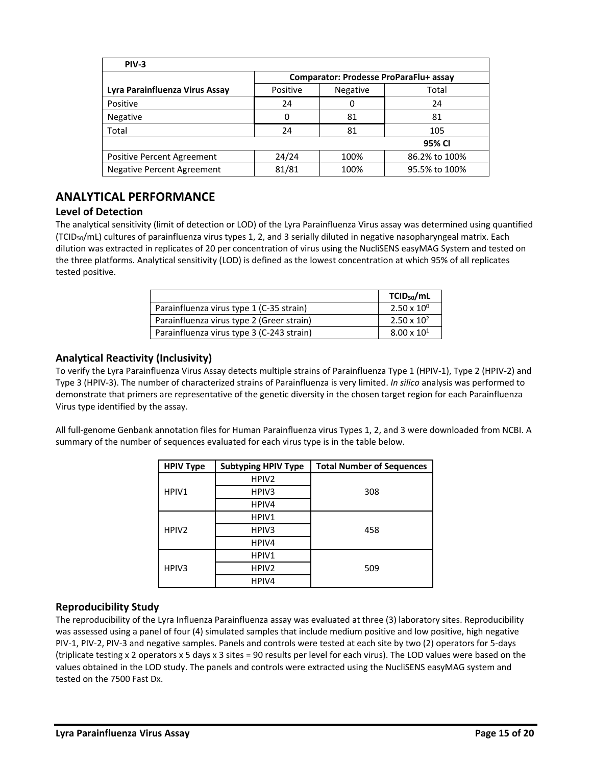| PIV-3                             |                                        |                 |               |
|-----------------------------------|----------------------------------------|-----------------|---------------|
|                                   | Comparator: Prodesse ProParaFlu+ assay |                 |               |
| Lyra Parainfluenza Virus Assay    | Positive                               | <b>Negative</b> | Total         |
| Positive                          | 24                                     | 0               | 24            |
| Negative                          | 0                                      | 81              | 81            |
| Total                             | 24                                     | 81              | 105           |
|                                   |                                        |                 | 95% CI        |
| Positive Percent Agreement        | 24/24                                  | 100%            | 86.2% to 100% |
| <b>Negative Percent Agreement</b> | 81/81                                  | 100%            | 95.5% to 100% |

# <span id="page-14-0"></span>**ANALYTICAL PERFORMANCE**

#### <span id="page-14-1"></span>**Level of Detection**

The analytical sensitivity (limit of detection or LOD) of the Lyra Parainfluenza Virus assay was determined using quantified (TCID<sub>50</sub>/mL) cultures of parainfluenza virus types 1, 2, and 3 serially diluted in negative nasopharyngeal matrix. Each dilution was extracted in replicates of 20 per concentration of virus using the NucliSENS easyMAG System and tested on the three platforms. Analytical sensitivity (LOD) is defined as the lowest concentration at which 95% of all replicates tested positive.

|                                           | TCID <sub>50</sub> /mL |
|-------------------------------------------|------------------------|
| Parainfluenza virus type 1 (C-35 strain)  | $2.50 \times 10^{0}$   |
| Parainfluenza virus type 2 (Greer strain) | $2.50 \times 10^{2}$   |
| Parainfluenza virus type 3 (C-243 strain) | $8.00 \times 10^{1}$   |

### <span id="page-14-2"></span>**Analytical Reactivity (Inclusivity)**

To verify the Lyra Parainfluenza Virus Assay detects multiple strains of Parainfluenza Type 1 (HPIV-1), Type 2 (HPIV-2) and Type 3 (HPIV-3). The number of characterized strains of Parainfluenza is very limited. *In silico* analysis was performed to demonstrate that primers are representative of the genetic diversity in the chosen target region for each Parainfluenza Virus type identified by the assay.

All full-genome Genbank annotation files for Human Parainfluenza virus Types 1, 2, and 3 were downloaded from NCBI. A summary of the number of sequences evaluated for each virus type is in the table below.

| <b>HPIV Type</b>  | <b>Subtyping HPIV Type</b> | <b>Total Number of Sequences</b> |
|-------------------|----------------------------|----------------------------------|
|                   | HPIV <sub>2</sub>          |                                  |
| HPIV1             | HPIV3                      | 308                              |
|                   | HPIV4                      |                                  |
|                   | HPIV1                      |                                  |
| HPIV <sub>2</sub> | HPIV3                      | 458                              |
|                   | HPIV4                      |                                  |
|                   | HPIV1                      |                                  |
| HPIV3             | HPIV <sub>2</sub>          | 509                              |
|                   | HPIV4                      |                                  |

#### <span id="page-14-3"></span>**Reproducibility Study**

The reproducibility of the Lyra Influenza Parainfluenza assay was evaluated at three (3) laboratory sites. Reproducibility was assessed using a panel of four (4) simulated samples that include medium positive and low positive, high negative PIV-1, PIV-2, PIV-3 and negative samples. Panels and controls were tested at each site by two (2) operators for 5-days (triplicate testing x 2 operators x 5 days x 3 sites = 90 results per level for each virus). The LOD values were based on the values obtained in the LOD study. The panels and controls were extracted using the NucliSENS easyMAG system and tested on the 7500 Fast Dx.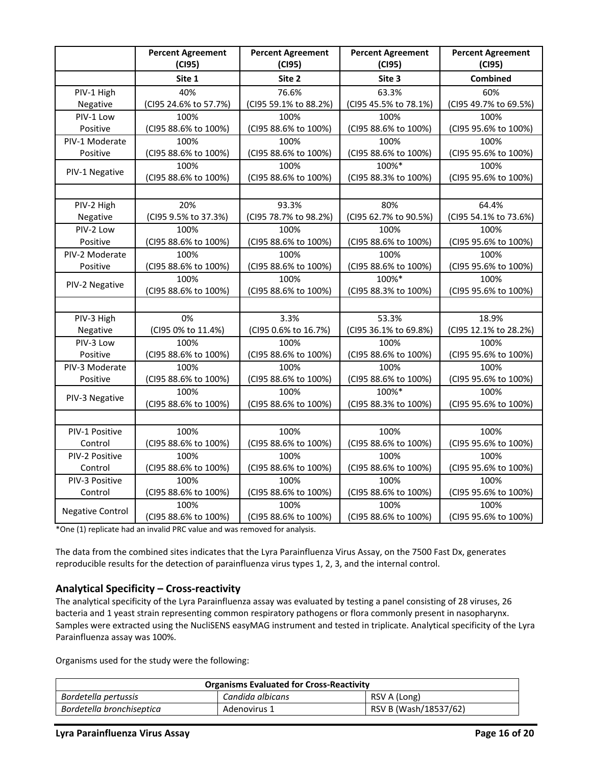|                         | <b>Percent Agreement</b><br>(C195) | <b>Percent Agreement</b><br>(C195) | <b>Percent Agreement</b><br>(C195) | <b>Percent Agreement</b><br>(C195) |
|-------------------------|------------------------------------|------------------------------------|------------------------------------|------------------------------------|
|                         | Site 1                             | Site 2                             | Site 3                             | Combined                           |
| PIV-1 High              | 40%                                | 76.6%                              | 63.3%                              | 60%                                |
| Negative                | (CI95 24.6% to 57.7%)              | (CI95 59.1% to 88.2%)              | (CI95 45.5% to 78.1%)              | (CI95 49.7% to 69.5%)              |
| PIV-1 Low               | 100%                               | 100%                               | 100%                               | 100%                               |
| Positive                | (CI95 88.6% to 100%)               | (CI95 88.6% to 100%)               | (CI95 88.6% to 100%)               | (CI95 95.6% to 100%)               |
| PIV-1 Moderate          | 100%                               | 100%                               | 100%                               | 100%                               |
| Positive                | (CI95 88.6% to 100%)               | (CI95 88.6% to 100%)               | (CI95 88.6% to 100%)               | (CI95 95.6% to 100%)               |
| PIV-1 Negative          | 100%                               | 100%                               | 100%*                              | 100%                               |
|                         | (CI95 88.6% to 100%)               | (CI95 88.6% to 100%)               | (CI95 88.3% to 100%)               | (CI95 95.6% to 100%)               |
|                         |                                    |                                    |                                    |                                    |
| PIV-2 High              | 20%                                | 93.3%                              | 80%                                | 64.4%                              |
| Negative                | (CI95 9.5% to 37.3%)               | (CI95 78.7% to 98.2%)              | (CI95 62.7% to 90.5%)              | (CI95 54.1% to 73.6%)              |
| PIV-2 Low               | 100%                               | 100%                               | 100%                               | 100%                               |
| Positive                | (CI95 88.6% to 100%)               | (CI95 88.6% to 100%)               | (CI95 88.6% to 100%)               | (CI95 95.6% to 100%)               |
| PIV-2 Moderate          | 100%                               | 100%                               | 100%                               | 100%                               |
| Positive                | (CI95 88.6% to 100%)               | (CI95 88.6% to 100%)               | (CI95 88.6% to 100%)               | (CI95 95.6% to 100%)               |
| PIV-2 Negative          | 100%                               | 100%                               | 100%*                              | 100%                               |
|                         | (CI95 88.6% to 100%)               | (CI95 88.6% to 100%)               | (CI95 88.3% to 100%)               | (CI95 95.6% to 100%)               |
|                         |                                    |                                    |                                    |                                    |
| PIV-3 High              | 0%                                 | 3.3%                               | 53.3%                              | 18.9%                              |
| Negative                | (CI95 0% to 11.4%)                 | (CI95 0.6% to 16.7%)               | (CI95 36.1% to 69.8%)              | (CI95 12.1% to 28.2%)              |
| PIV-3 Low               | 100%                               | 100%                               | 100%                               | 100%                               |
| Positive                | (CI95 88.6% to 100%)               | (CI95 88.6% to 100%)               | (CI95 88.6% to 100%)               | (CI95 95.6% to 100%)               |
| PIV-3 Moderate          | 100%                               | 100%                               | 100%                               | 100%                               |
| Positive                | (CI95 88.6% to 100%)               | (CI95 88.6% to 100%)               | (CI95 88.6% to 100%)               | (CI95 95.6% to 100%)               |
| PIV-3 Negative          | 100%                               | 100%                               | 100%*                              | 100%                               |
|                         | (CI95 88.6% to 100%)               | (CI95 88.6% to 100%)               | (CI95 88.3% to 100%)               | (CI95 95.6% to 100%)               |
|                         |                                    |                                    |                                    |                                    |
| PIV-1 Positive          | 100%                               | 100%                               | 100%                               | 100%                               |
| Control                 | (CI95 88.6% to 100%)               | (CI95 88.6% to 100%)               | (CI95 88.6% to 100%)               | (CI95 95.6% to 100%)               |
| PIV-2 Positive          | 100%                               | 100%                               | 100%                               | 100%                               |
| Control                 | (CI95 88.6% to 100%)               | (CI95 88.6% to 100%)               | (CI95 88.6% to 100%)               | (CI95 95.6% to 100%)               |
| PIV-3 Positive          | 100%                               | 100%                               | 100%                               | 100%                               |
| Control                 | (CI95 88.6% to 100%)               | (CI95 88.6% to 100%)               | (CI95 88.6% to 100%)               | (CI95 95.6% to 100%)               |
| <b>Negative Control</b> | 100%                               | 100%                               | 100%                               | 100%                               |
|                         | (CI95 88.6% to 100%)               | (CI95 88.6% to 100%)               | (CI95 88.6% to 100%)               | (CI95 95.6% to 100%)               |

\*One (1) replicate had an invalid PRC value and was removed for analysis.

The data from the combined sites indicates that the Lyra Parainfluenza Virus Assay, on the 7500 Fast Dx, generates reproducible results for the detection of parainfluenza virus types 1, 2, 3, and the internal control.

#### <span id="page-15-0"></span>**Analytical Specificity – Cross-reactivity**

The analytical specificity of the Lyra Parainfluenza assay was evaluated by testing a panel consisting of 28 viruses, 26 bacteria and 1 yeast strain representing common respiratory pathogens or flora commonly present in nasopharynx. Samples were extracted using the NucliSENS easyMAG instrument and tested in triplicate. Analytical specificity of the Lyra Parainfluenza assay was 100%.

Organisms used for the study were the following:

| <b>Organisms Evaluated for Cross-Reactivity</b>                    |  |  |  |
|--------------------------------------------------------------------|--|--|--|
| Candida albicans<br>RSV A (Long)<br>Bordetella pertussis           |  |  |  |
| RSV B (Wash/18537/62)<br>Bordetella bronchiseptica<br>Adenovirus 1 |  |  |  |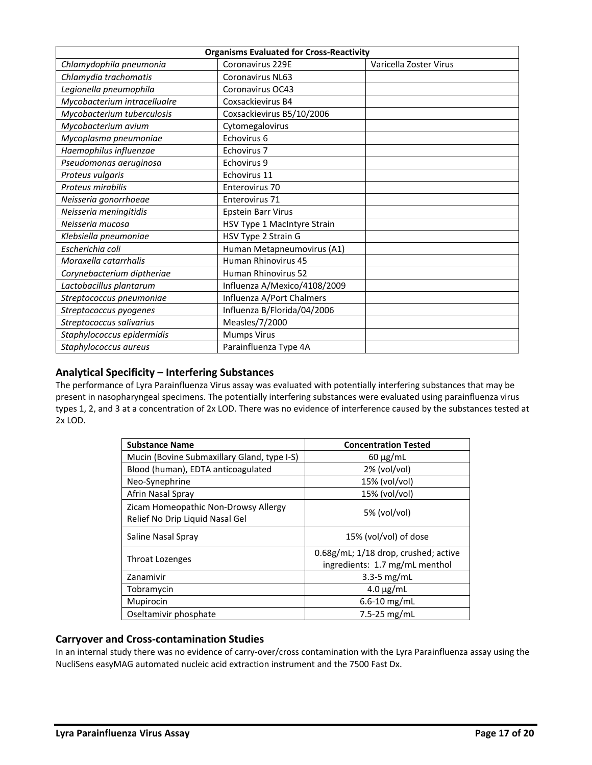| <b>Organisms Evaluated for Cross-Reactivity</b> |                              |                        |
|-------------------------------------------------|------------------------------|------------------------|
| Chlamydophila pneumonia                         | Coronavirus 229E             | Varicella Zoster Virus |
| Chlamydia trachomatis                           | <b>Coronavirus NL63</b>      |                        |
| Legionella pneumophila                          | Coronavirus OC43             |                        |
| Mycobacterium intracellualre                    | Coxsackievirus B4            |                        |
| Mycobacterium tuberculosis                      | Coxsackievirus B5/10/2006    |                        |
| Mycobacterium avium                             | Cytomegalovirus              |                        |
| Mycoplasma pneumoniae                           | Echovirus 6                  |                        |
| Haemophilus influenzae                          | Echovirus 7                  |                        |
| Pseudomonas aeruginosa                          | Echovirus 9                  |                        |
| Proteus vulgaris                                | Echovirus 11                 |                        |
| Proteus mirabilis                               | Enterovirus 70               |                        |
| Neisseria gonorrhoeae                           | Enterovirus 71               |                        |
| Neisseria meningitidis                          | <b>Epstein Barr Virus</b>    |                        |
| Neisseria mucosa                                | HSV Type 1 MacIntyre Strain  |                        |
| Klebsiella pneumoniae                           | HSV Type 2 Strain G          |                        |
| Escherichia coli                                | Human Metapneumovirus (A1)   |                        |
| Moraxella catarrhalis                           | Human Rhinovirus 45          |                        |
| Corynebacterium diptheriae                      | Human Rhinovirus 52          |                        |
| Lactobacillus plantarum                         | Influenza A/Mexico/4108/2009 |                        |
| Streptococcus pneumoniae                        | Influenza A/Port Chalmers    |                        |
| Streptococcus pyogenes                          | Influenza B/Florida/04/2006  |                        |
| Streptococcus salivarius                        | Measles/7/2000               |                        |
| Staphylococcus epidermidis                      | <b>Mumps Virus</b>           |                        |
| Staphylococcus aureus                           | Parainfluenza Type 4A        |                        |

### <span id="page-16-0"></span>**Analytical Specificity – Interfering Substances**

The performance of Lyra Parainfluenza Virus assay was evaluated with potentially interfering substances that may be present in nasopharyngeal specimens. The potentially interfering substances were evaluated using parainfluenza virus types 1, 2, and 3 at a concentration of 2x LOD. There was no evidence of interference caused by the substances tested at 2x LOD.

| <b>Substance Name</b>                                                   | <b>Concentration Tested</b>                                            |
|-------------------------------------------------------------------------|------------------------------------------------------------------------|
| Mucin (Bovine Submaxillary Gland, type I-S)                             | $60 \mu g/mL$                                                          |
| Blood (human), EDTA anticoagulated                                      | $2\%$ (vol/vol)                                                        |
| Neo-Synephrine                                                          | 15% (vol/vol)                                                          |
| Afrin Nasal Spray                                                       | 15% (vol/vol)                                                          |
| Zicam Homeopathic Non-Drowsy Allergy<br>Relief No Drip Liquid Nasal Gel | $5%$ (vol/vol)                                                         |
| Saline Nasal Spray                                                      | 15% (vol/vol) of dose                                                  |
| Throat Lozenges                                                         | 0.68g/mL; 1/18 drop, crushed; active<br>ingredients: 1.7 mg/mL menthol |
| Zanamivir                                                               | $3.3 - 5$ mg/mL                                                        |
| Tobramycin                                                              | $4.0 \mu g/mL$                                                         |
| Mupirocin                                                               | $6.6 - 10$ mg/mL                                                       |
| Oseltamivir phosphate                                                   | 7.5-25 $mg/mL$                                                         |

### <span id="page-16-1"></span>**Carryover and Cross-contamination Studies**

<span id="page-16-2"></span>In an internal study there was no evidence of carry-over/cross contamination with the Lyra Parainfluenza assay using the NucliSens easyMAG automated nucleic acid extraction instrument and the 7500 Fast Dx.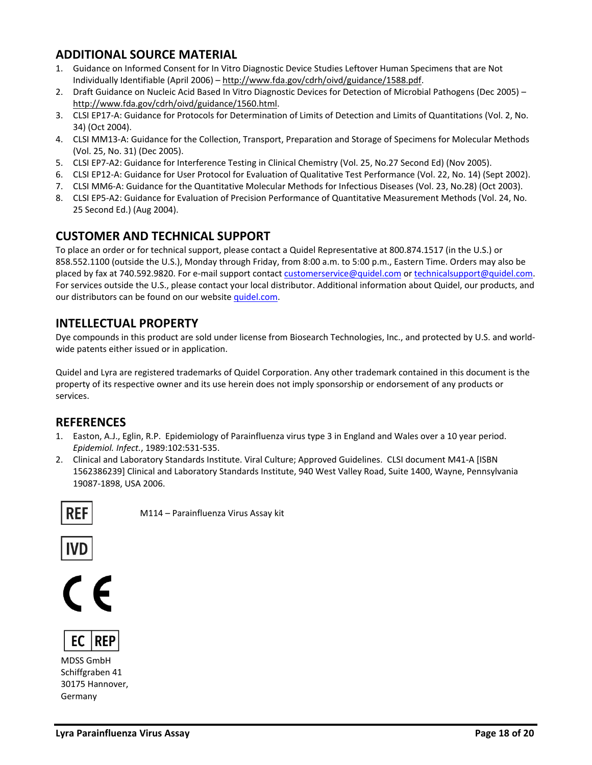# **ADDITIONAL SOURCE MATERIAL**

- 1. Guidance on Informed Consent for In Vitro Diagnostic Device Studies Leftover Human Specimens that are Not Individually Identifiable (April 2006) – [http://www.fda.gov/cdrh/oivd/guidance/1588.pdf.](http://www.fda.gov/cdrh/oivd/guidance/1588.pdf)
- 2. Draft Guidance on Nucleic Acid Based In Vitro Diagnostic Devices for Detection of Microbial Pathogens (Dec 2005) [http://www.fda.gov/cdrh/oivd/guidance/1560.html.](http://www.fda.gov/cdrh/oivd/guidance/1560.html)
- 3. CLSI EP17-A: Guidance for Protocols for Determination of Limits of Detection and Limits of Quantitations (Vol. 2, No. 34) (Oct 2004).
- 4. CLSI MM13-A: Guidance for the Collection, Transport, Preparation and Storage of Specimens for Molecular Methods (Vol. 25, No. 31) (Dec 2005).
- 5. CLSI EP7-A2: Guidance for Interference Testing in Clinical Chemistry (Vol. 25, No.27 Second Ed) (Nov 2005).
- 6. CLSI EP12-A: Guidance for User Protocol for Evaluation of Qualitative Test Performance (Vol. 22, No. 14) (Sept 2002).
- 7. CLSI MM6-A: Guidance for the Quantitative Molecular Methods for Infectious Diseases (Vol. 23, No.28) (Oct 2003).
- 8. CLSI EP5-A2: Guidance for Evaluation of Precision Performance of Quantitative Measurement Methods (Vol. 24, No. 25 Second Ed.) (Aug 2004).

# <span id="page-17-0"></span>**CUSTOMER AND TECHNICAL SUPPORT**

To place an order or for technical support, please contact a Quidel Representative at 800.874.1517 (in the U.S.) or 858.552.1100 (outside the U.S.), Monday through Friday, from 8:00 a.m. to 5:00 p.m., Eastern Time. Orders may also be placed by fax at 740.592.9820. For e-mail support contact [customerservice@quidel.com](mailto:customer_service@dhiusa.com) o[r technicalsupport@quidel.com.](mailto:technical_services@dhiusa.com)  For services outside the U.S., please contact your local distributor. Additional information about Quidel, our products, and our distributors can be found on our website [quidel.com.](http://www.quidel.com/)

## <span id="page-17-1"></span>**INTELLECTUAL PROPERTY**

Dye compounds in this product are sold under license from Biosearch Technologies, Inc., and protected by U.S. and worldwide patents either issued or in application.

Quidel and Lyra are registered trademarks of Quidel Corporation. Any other trademark contained in this document is the property of its respective owner and its use herein does not imply sponsorship or endorsement of any products or services.

### **REFERENCES**

- 1. Easton, A.J., Eglin, R.P. Epidemiology of Parainfluenza virus type 3 in England and Wales over a 10 year period. *Epidemiol. Infect.*, 1989:102:531-535.
- 2. Clinical and Laboratory Standards Institute. Viral Culture; Approved Guidelines. CLSI document M41-A [ISBN 1562386239] Clinical and Laboratory Standards Institute, 940 West Valley Road, Suite 1400, Wayne, Pennsylvania 19087-1898, USA 2006.



M114 – Parainfluenza Virus Assay kit







MDSS GmbH Schiffgraben 41 30175 Hannover, Germany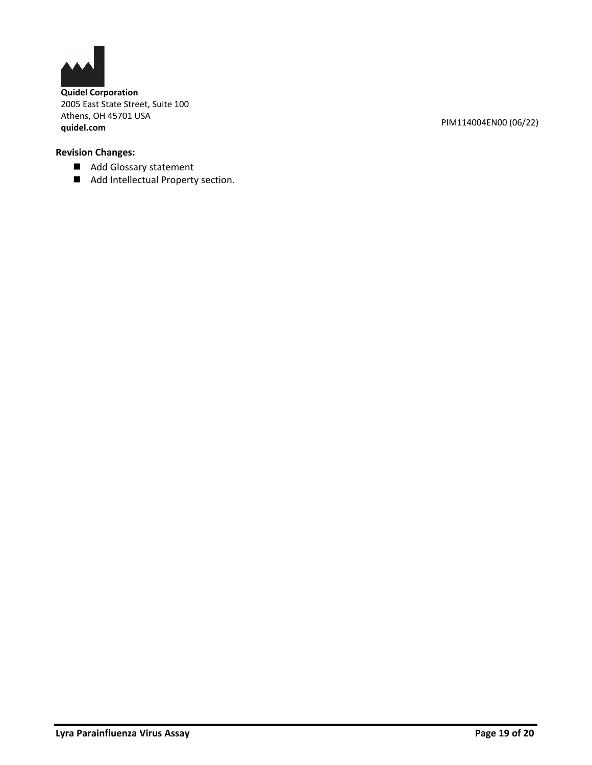

**Quidel Corporation** 2005 East State Street, Suite 100 Athens, OH 45701 USA **quidel.com** PIM114004EN00 (06/22)

## **Revision Changes:**

- Add Glossary statement
- Add Intellectual Property section.